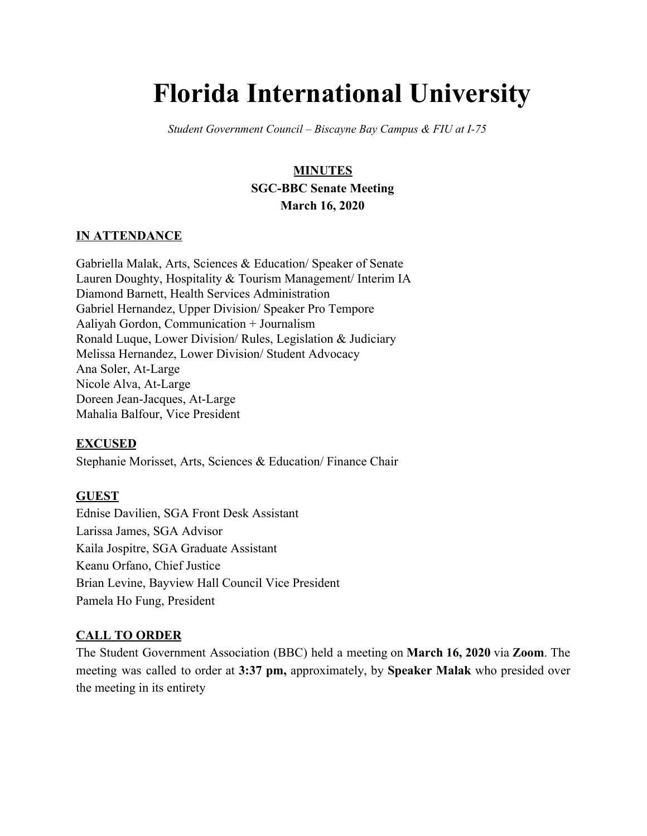# **Florida International University**

*Student Government Council – Biscayne Bay Campus & FIU at I-75*

# **MINUTES SGC-BBC Senate Meeting March 16, 2020**

#### **IN ATTENDANCE**

Gabriella Malak, Arts, Sciences & Education/ Speaker of Senate Lauren Doughty, Hospitality & Tourism Management/ Interim IA Diamond Barnett, Health Services Administration Gabriel Hernandez, Upper Division/ Speaker Pro Tempore Aaliyah Gordon, Communication + Journalism Ronald Luque, Lower Division/ Rules, Legislation & Judiciary Melissa Hernandez, Lower Division/ Student Advocacy Ana Soler, At-Large Nicole Alva, At-Large Doreen Jean-Jacques, At-Large Mahalia Balfour, Vice President

#### **EXCUSED**

Stephanie Morisset, Arts, Sciences & Education/ Finance Chair

#### **GUEST**

Ednise Davilien, SGA Front Desk Assistant Larissa James, SGA Advisor Kaila Jospitre, SGA Graduate Assistant Keanu Orfano, Chief Justice Brian Levine, Bayview Hall Council Vice President Pamela Ho Fung, President

#### **CALL TO ORDER**

The Student Government Association (BBC) held a meeting on **March 16, 2020** via **Zoom**. The meeting was called to order at **3:37 pm,** approximately, by **Speaker Malak** who presided over the meeting in its entirety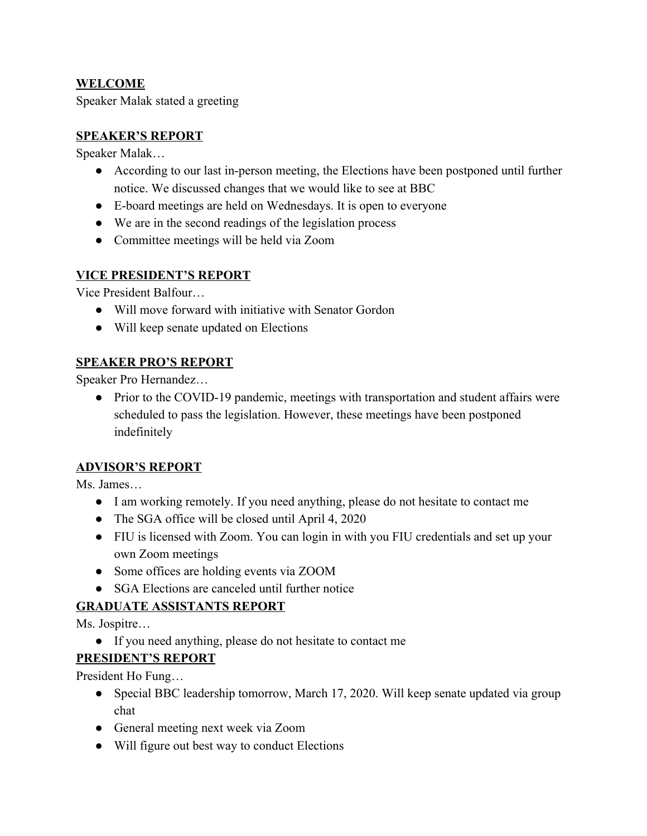## **WELCOME**

Speaker Malak stated a greeting

## **SPEAKER'S REPORT**

Speaker Malak…

- According to our last in-person meeting, the Elections have been postponed until further notice. We discussed changes that we would like to see at BBC
- E-board meetings are held on Wednesdays. It is open to everyone
- We are in the second readings of the legislation process
- Committee meetings will be held via Zoom

## **VICE PRESIDENT'S REPORT**

Vice President Balfour…

- Will move forward with initiative with Senator Gordon
- Will keep senate updated on Elections

## **SPEAKER PRO'S REPORT**

Speaker Pro Hernandez…

• Prior to the COVID-19 pandemic, meetings with transportation and student affairs were scheduled to pass the legislation. However, these meetings have been postponed indefinitely

#### **ADVISOR'S REPORT**

Ms. James…

- I am working remotely. If you need anything, please do not hesitate to contact me
- The SGA office will be closed until April 4, 2020
- FIU is licensed with Zoom. You can login in with you FIU credentials and set up your own Zoom meetings
- Some offices are holding events via ZOOM
- SGA Elections are canceled until further notice

# **GRADUATE ASSISTANTS REPORT**

Ms. Jospitre…

● If you need anything, please do not hesitate to contact me

#### **PRESIDENT'S REPORT**

President Ho Fung…

- Special BBC leadership tomorrow, March 17, 2020. Will keep senate updated via group chat
- General meeting next week via Zoom
- Will figure out best way to conduct Elections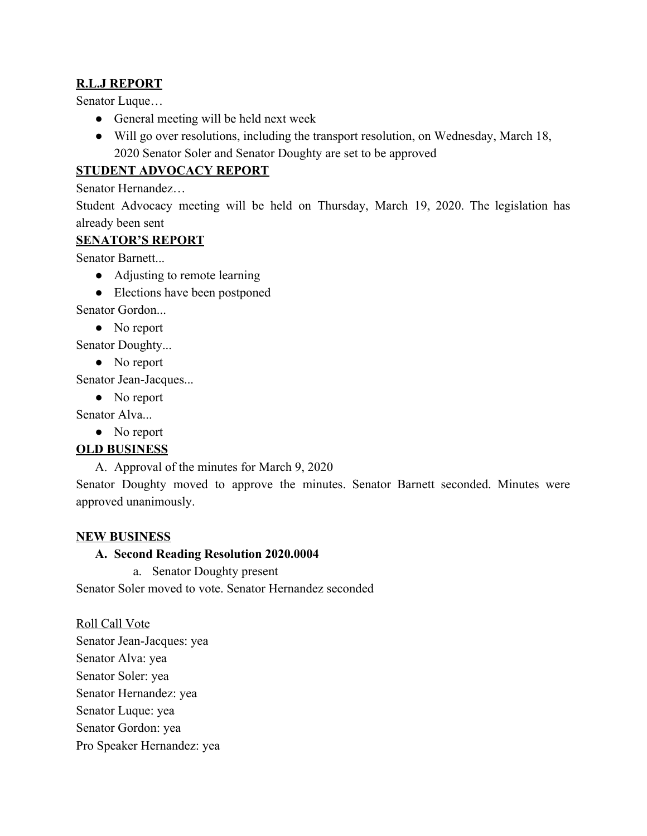## **R.L.J REPORT**

Senator Luque…

- General meeting will be held next week
- Will go over resolutions, including the transport resolution, on Wednesday, March 18, 2020 Senator Soler and Senator Doughty are set to be approved

## **STUDENT ADVOCACY REPORT**

Senator Hernandez…

Student Advocacy meeting will be held on Thursday, March 19, 2020. The legislation has already been sent

#### **SENATOR'S REPORT**

Senator Barnett...

- Adjusting to remote learning
- Elections have been postponed

Senator Gordon...

• No report

Senator Doughty...

• No report

Senator Jean-Jacques...

• No report

Senator Alva...

• No report

# **OLD BUSINESS**

A. Approval of the minutes for March 9, 2020

Senator Doughty moved to approve the minutes. Senator Barnett seconded. Minutes were approved unanimously.

#### **NEW BUSINESS**

#### **A. Second Reading Resolution 2020.0004**

a. Senator Doughty present

Senator Soler moved to vote. Senator Hernandez seconded

Roll Call Vote Senator Jean-Jacques: yea Senator Alva: yea Senator Soler: yea Senator Hernandez: yea Senator Luque: yea Senator Gordon: yea Pro Speaker Hernandez: yea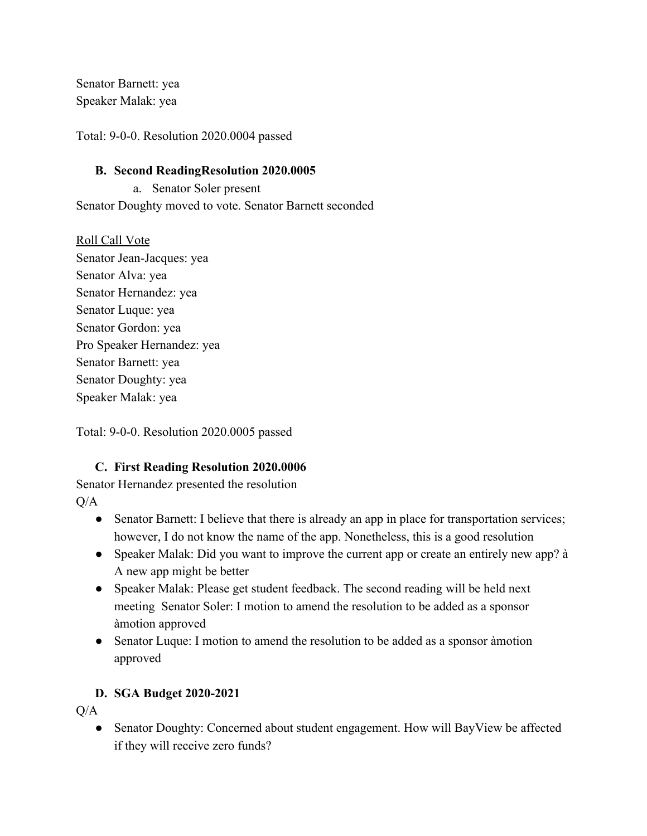Senator Barnett: yea Speaker Malak: yea

Total: 9-0-0. Resolution 2020.0004 passed

#### **B. Second ReadingResolution 2020.0005**

a. Senator Soler present Senator Doughty moved to vote. Senator Barnett seconded

Roll Call Vote Senator Jean-Jacques: yea Senator Alva: yea Senator Hernandez: yea Senator Luque: yea Senator Gordon: yea Pro Speaker Hernandez: yea Senator Barnett: yea Senator Doughty: yea Speaker Malak: yea

Total: 9-0-0. Resolution 2020.0005 passed

# **C. First Reading Resolution 2020.0006**

Senator Hernandez presented the resolution  $O/A$ 

- Senator Barnett: I believe that there is already an app in place for transportation services; however, I do not know the name of the app. Nonetheless, this is a good resolution
- Speaker Malak: Did you want to improve the current app or create an entirely new app? à A new app might be better
- Speaker Malak: Please get student feedback. The second reading will be held next meeting Senator Soler: I motion to amend the resolution to be added as a sponsor àmotion approved
- Senator Luque: I motion to amend the resolution to be added as a sponsor àmotion approved

# **D. SGA Budget 2020-2021**

 $O/A$ 

• Senator Doughty: Concerned about student engagement. How will BayView be affected if they will receive zero funds?